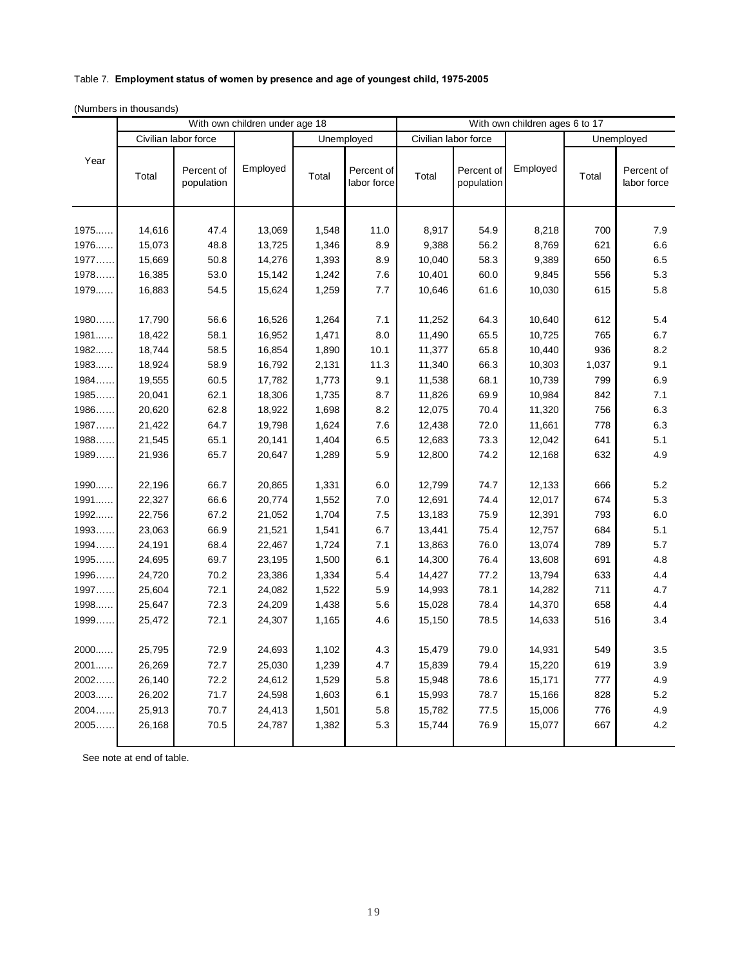## Table 7. **Employment status of women by presence and age of youngest child, 1975-2005**

(Numbers in thousands)

|        | With own children under age 18 |                          |          |            | With own children ages 6 to 17 |                      |                          |          |            |                           |
|--------|--------------------------------|--------------------------|----------|------------|--------------------------------|----------------------|--------------------------|----------|------------|---------------------------|
|        | Civilian labor force           |                          |          | Unemployed |                                | Civilian labor force |                          |          | Unemployed |                           |
| Year   | Total                          | Percent of<br>population | Employed | Total      | Percent of<br>labor force      | Total                | Percent of<br>population | Employed | Total      | Percent of<br>labor force |
| 1975   | 14,616                         | 47.4                     | 13,069   | 1,548      | 11.0                           | 8,917                | 54.9                     | 8,218    | 700        | 7.9                       |
| 1976   | 15,073                         | 48.8                     | 13,725   | 1,346      | 8.9                            | 9,388                | 56.2                     | 8,769    | 621        | 6.6                       |
| 1977   | 15,669                         | 50.8                     | 14,276   | 1,393      | 8.9                            | 10,040               | 58.3                     | 9,389    | 650        | 6.5                       |
| 1978   | 16,385                         | 53.0                     | 15,142   | 1,242      | 7.6                            | 10,401               | 60.0                     | 9,845    | 556        | 5.3                       |
| 1979   | 16,883                         | 54.5                     | 15,624   | 1,259      | 7.7                            | 10,646               | 61.6                     | 10,030   | 615        | 5.8                       |
| 1980   | 17,790                         | 56.6                     | 16,526   | 1,264      | 7.1                            | 11,252               | 64.3                     | 10,640   | 612        | 5.4                       |
| 1981   | 18,422                         | 58.1                     | 16,952   | 1,471      | 8.0                            | 11,490               | 65.5                     | 10,725   | 765        | 6.7                       |
| 1982   | 18,744                         | 58.5                     | 16,854   | 1,890      | 10.1                           | 11,377               | 65.8                     | 10,440   | 936        | 8.2                       |
| 1983   | 18,924                         | 58.9                     | 16,792   | 2,131      | 11.3                           | 11,340               | 66.3                     | 10,303   | 1,037      | 9.1                       |
| 1984   | 19,555                         | 60.5                     | 17,782   | 1,773      | 9.1                            | 11,538               | 68.1                     | 10,739   | 799        | 6.9                       |
| 1985   | 20,041                         | 62.1                     | 18,306   | 1,735      | 8.7                            | 11,826               | 69.9                     | 10,984   | 842        | 7.1                       |
| 1986   | 20,620                         | 62.8                     | 18,922   | 1,698      | 8.2                            | 12,075               | 70.4                     | 11,320   | 756        | 6.3                       |
| 1987   | 21,422                         | 64.7                     | 19,798   | 1,624      | 7.6                            | 12,438               | 72.0                     | 11,661   | 778        | 6.3                       |
| 1988   | 21,545                         | 65.1                     | 20,141   | 1,404      | 6.5                            | 12,683               | 73.3                     | 12,042   | 641        | 5.1                       |
| 1989   | 21,936                         | 65.7                     | 20,647   | 1,289      | 5.9                            | 12,800               | 74.2                     | 12,168   | 632        | 4.9                       |
| 1990   | 22,196                         | 66.7                     | 20,865   | 1,331      | 6.0                            | 12,799               | 74.7                     | 12,133   | 666        | 5.2                       |
| 1991   | 22,327                         | 66.6                     | 20,774   | 1,552      | 7.0                            | 12,691               | 74.4                     | 12,017   | 674        | 5.3                       |
| 1992   | 22,756                         | 67.2                     | 21,052   | 1,704      | 7.5                            | 13,183               | 75.9                     | 12,391   | 793        | 6.0                       |
| 1993   | 23,063                         | 66.9                     | 21,521   | 1,541      | 6.7                            | 13,441               | 75.4                     | 12,757   | 684        | 5.1                       |
| 1994   | 24,191                         | 68.4                     | 22,467   | 1,724      | 7.1                            | 13,863               | 76.0                     | 13,074   | 789        | 5.7                       |
| 1995   | 24,695                         | 69.7                     | 23,195   | 1,500      | 6.1                            | 14,300               | 76.4                     | 13,608   | 691        | 4.8                       |
| 1996   | 24,720                         | 70.2                     | 23,386   | 1,334      | 5.4                            | 14,427               | 77.2                     | 13,794   | 633        | 4.4                       |
| 1997   | 25,604                         | 72.1                     | 24,082   | 1,522      | 5.9                            | 14,993               | 78.1                     | 14,282   | 711        | 4.7                       |
| 1998   | 25,647                         | 72.3                     | 24,209   | 1,438      | 5.6                            | 15,028               | 78.4                     | 14,370   | 658        | 4.4                       |
| 1999   | 25,472                         | 72.1                     | 24,307   | 1,165      | 4.6                            | 15,150               | 78.5                     | 14,633   | 516        | 3.4                       |
| $2000$ | 25,795                         | 72.9                     | 24,693   | 1,102      | 4.3                            | 15,479               | 79.0                     | 14,931   | 549        | 3.5                       |
| 2001   | 26,269                         | 72.7                     | 25,030   | 1,239      | 4.7                            | 15,839               | 79.4                     | 15,220   | 619        | 3.9                       |
| 2002   | 26,140                         | 72.2                     | 24,612   | 1,529      | 5.8                            | 15,948               | 78.6                     | 15,171   | 777        | 4.9                       |
| 2003   | 26,202                         | 71.7                     | 24,598   | 1,603      | 6.1                            | 15,993               | 78.7                     | 15,166   | 828        | 5.2                       |
| 2004   | 25,913                         | 70.7                     | 24,413   | 1,501      | 5.8                            | 15,782               | 77.5                     | 15,006   | 776        | 4.9                       |
| 2005   | 26,168                         | 70.5                     | 24,787   | 1,382      | 5.3                            | 15,744               | 76.9                     | 15,077   | 667        | 4.2                       |

See note at end of table.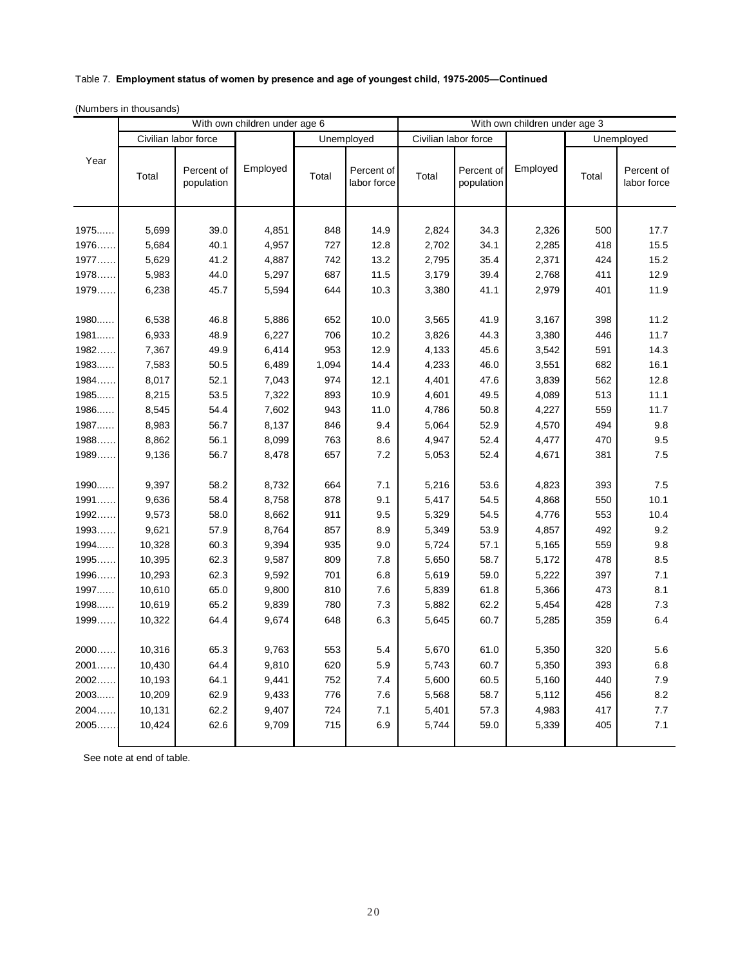## Table 7. **Employment status of women by presence and age of youngest child, 1975-2005—Continued**

|        | With own children under age 6<br>With own children under age 3 |                          |          |            |                           |                      |                          |          |            |                           |
|--------|----------------------------------------------------------------|--------------------------|----------|------------|---------------------------|----------------------|--------------------------|----------|------------|---------------------------|
|        | Civilian labor force                                           |                          |          | Unemployed |                           | Civilian labor force |                          |          | Unemployed |                           |
| Year   | Total                                                          | Percent of<br>population | Employed | Total      | Percent of<br>labor force | Total                | Percent of<br>population | Employed | Total      | Percent of<br>labor force |
| 1975   | 5,699                                                          | 39.0                     | 4,851    | 848        | 14.9                      | 2,824                | 34.3                     | 2,326    | 500        | 17.7                      |
| 1976   | 5,684                                                          | 40.1                     | 4,957    | 727        | 12.8                      | 2,702                | 34.1                     | 2,285    | 418        | 15.5                      |
| 1977   | 5,629                                                          | 41.2                     | 4,887    | 742        | 13.2                      | 2,795                | 35.4                     | 2,371    | 424        | 15.2                      |
| 1978   | 5,983                                                          | 44.0                     | 5,297    | 687        | 11.5                      | 3,179                | 39.4                     | 2,768    | 411        | 12.9                      |
| 1979   | 6,238                                                          | 45.7                     | 5,594    | 644        | 10.3                      | 3,380                | 41.1                     | 2,979    | 401        | 11.9                      |
|        |                                                                |                          |          |            |                           |                      |                          |          |            |                           |
| 1980   | 6,538                                                          | 46.8                     | 5,886    | 652        | 10.0                      | 3,565                | 41.9                     | 3,167    | 398        | 11.2                      |
| 1981   | 6,933                                                          | 48.9                     | 6,227    | 706        | 10.2                      | 3,826                | 44.3                     | 3,380    | 446        | 11.7                      |
| 1982   | 7,367                                                          | 49.9                     | 6,414    | 953        | 12.9                      | 4,133                | 45.6                     | 3,542    | 591        | 14.3                      |
| 1983   | 7,583                                                          | 50.5                     | 6,489    | 1,094      | 14.4                      | 4,233                | 46.0                     | 3,551    | 682        | 16.1                      |
| 1984   | 8,017                                                          | 52.1                     | 7,043    | 974        | 12.1                      | 4,401                | 47.6                     | 3,839    | 562        | 12.8                      |
| 1985   | 8,215                                                          | 53.5                     | 7,322    | 893        | 10.9                      | 4,601                | 49.5                     | 4,089    | 513        | 11.1                      |
| 1986   | 8,545                                                          | 54.4                     | 7,602    | 943        | 11.0                      | 4,786                | 50.8                     | 4,227    | 559        | 11.7                      |
| 1987   | 8,983                                                          | 56.7                     | 8,137    | 846        | 9.4                       | 5,064                | 52.9                     | 4,570    | 494        | 9.8                       |
| 1988   | 8,862                                                          | 56.1                     | 8,099    | 763        | 8.6                       | 4,947                | 52.4                     | 4,477    | 470        | 9.5                       |
| 1989   | 9,136                                                          | 56.7                     | 8,478    | 657        | 7.2                       | 5,053                | 52.4                     | 4,671    | 381        | 7.5                       |
|        |                                                                |                          |          |            |                           |                      |                          |          |            |                           |
| 1990   | 9,397                                                          | 58.2                     | 8,732    | 664        | 7.1                       | 5,216                | 53.6                     | 4,823    | 393        | 7.5                       |
| 1991   | 9,636                                                          | 58.4                     | 8,758    | 878        | 9.1                       | 5,417                | 54.5                     | 4,868    | 550        | 10.1                      |
| 1992   | 9,573                                                          | 58.0                     | 8,662    | 911        | 9.5                       | 5,329                | 54.5                     | 4,776    | 553        | 10.4                      |
| 1993   | 9,621                                                          | 57.9                     | 8,764    | 857        | 8.9                       | 5,349                | 53.9                     | 4,857    | 492        | 9.2                       |
| 1994   | 10,328                                                         | 60.3                     | 9,394    | 935        | 9.0                       | 5,724                | 57.1                     | 5,165    | 559        | 9.8                       |
| 1995   | 10,395                                                         | 62.3                     | 9,587    | 809        | 7.8                       | 5,650                | 58.7                     | 5,172    | 478        | 8.5                       |
| 1996   | 10,293                                                         | 62.3                     | 9,592    | 701        | 6.8                       | 5,619                | 59.0                     | 5,222    | 397        | 7.1                       |
| 1997   | 10,610                                                         | 65.0                     | 9,800    | 810        | 7.6                       | 5,839                | 61.8                     | 5,366    | 473        | 8.1                       |
| 1998   | 10,619                                                         | 65.2                     | 9,839    | 780        | 7.3                       | 5,882                | 62.2                     | 5,454    | 428        | 7.3                       |
| 1999   | 10,322                                                         | 64.4                     | 9,674    | 648        | 6.3                       | 5,645                | 60.7                     | 5,285    | 359        | 6.4                       |
|        |                                                                |                          |          |            |                           |                      |                          |          |            |                           |
| $2000$ | 10,316                                                         | 65.3                     | 9,763    | 553        | 5.4                       | 5,670                | 61.0                     | 5,350    | 320        | 5.6                       |
| 2001   | 10,430                                                         | 64.4                     | 9,810    | 620        | 5.9                       | 5,743                | 60.7                     | 5,350    | 393        | 6.8                       |
| 2002   | 10,193                                                         | 64.1                     | 9,441    | 752        | 7.4                       | 5,600                | 60.5                     | 5,160    | 440        | 7.9                       |
| 2003   | 10,209                                                         | 62.9                     | 9,433    | 776        | 7.6                       | 5,568                | 58.7                     | 5,112    | 456        | 8.2                       |
| 2004   | 10,131                                                         | 62.2                     | 9,407    | 724        | 7.1                       | 5,401                | 57.3                     | 4,983    | 417        | 7.7                       |
| 2005   | 10,424                                                         | 62.6                     | 9,709    | 715        | 6.9                       | 5,744                | 59.0                     | 5,339    | 405        | 7.1                       |
|        |                                                                |                          |          |            |                           |                      |                          |          |            |                           |

See note at end of table.